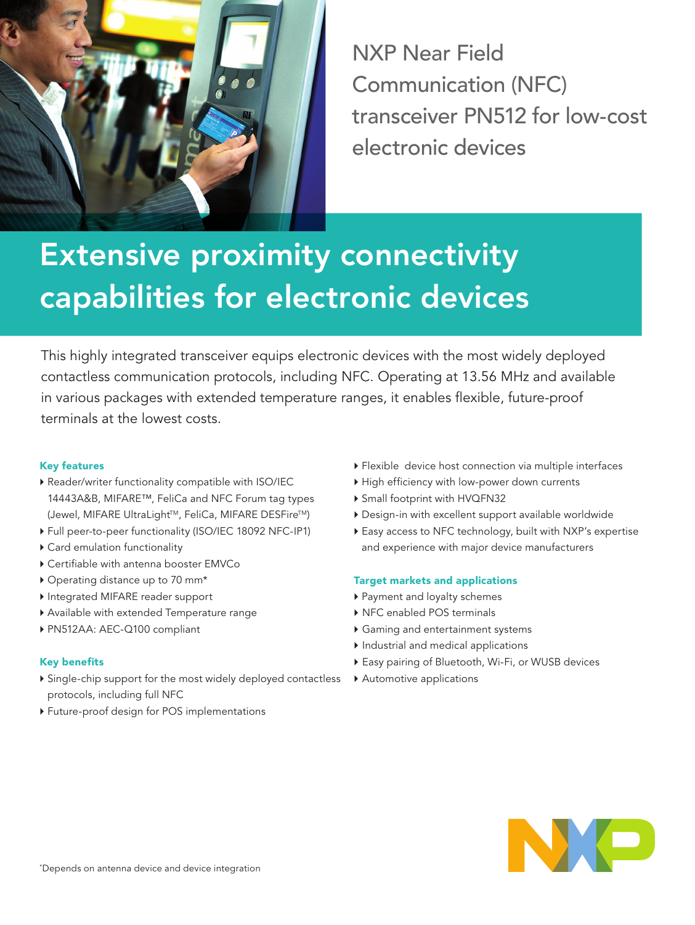

NXP Near Field Communication (NFC) transceiver PN512 for low-cost electronic devices

# Extensive proximity connectivity capabilities for electronic devices

This highly integrated transceiver equips electronic devices with the most widely deployed contactless communication protocols, including NFC. Operating at 13.56 MHz and available in various packages with extended temperature ranges, it enables flexible, future-proof terminals at the lowest costs.

## Key features

- } Reader/writer functionality compatible with ISO/IEC 14443A&B, MIFARE™, FeliCa and NFC Forum tag types (Jewel, MIFARE UltraLight™, FeliCa, MIFARE DESFire™)
- } Full peer-to-peer functionality (ISO/IEC 18092 NFC-IP1)
- $\triangleright$  Card emulation functionality
- } Certifiable with antenna booster EMVCo
- } Operating distance up to 70 mm\*
- } Integrated MIFARE reader support
- } Available with extended Temperature range
- } PN512AA: AEC-Q100 compliant

## Key benefits

- } Single-chip support for the most widely deployed contactless protocols, including full NFC
- } Future-proof design for POS implementations
- } Flexible device host connection via multiple interfaces
- } High efficiency with low-power down currents
- } Small footprint with HVQFN32
- } Design-in with excellent support available worldwide
- } Easy access to NFC technology, built with NXP's expertise and experience with major device manufacturers

## Target markets and applications

- } Payment and loyalty schemes
- ▶ NFC enabled POS terminals
- } Gaming and entertainment systems
- $\blacktriangleright$  Industrial and medical applications
- } Easy pairing of Bluetooth, Wi-Fi, or WUSB devices
- ▶ Automotive applications